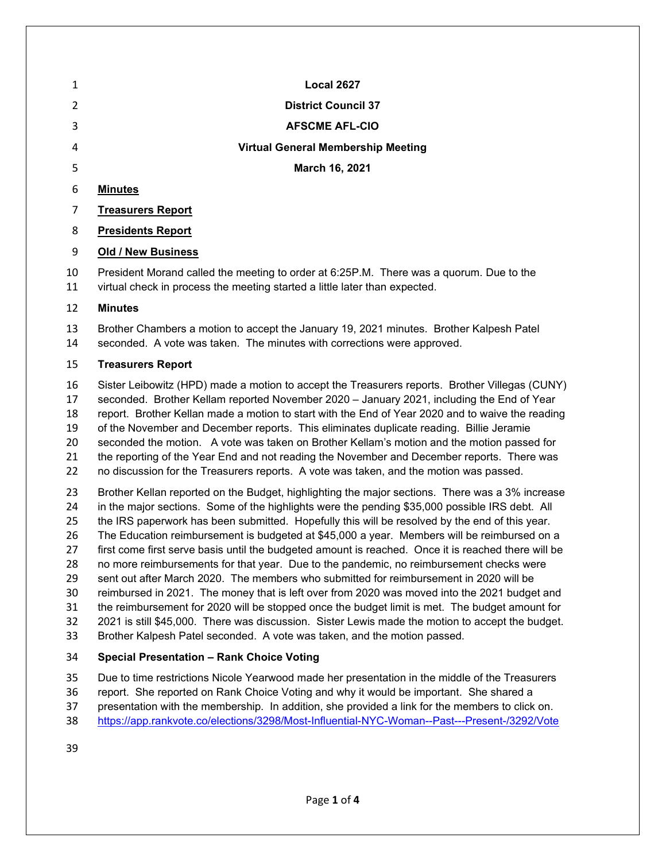| $\mathbf{1}$                           | <b>Local 2627</b>                                                                                                                                                                                                                                                                                                                                                                                                                                                                                                                                                                                                                                                                |  |  |
|----------------------------------------|----------------------------------------------------------------------------------------------------------------------------------------------------------------------------------------------------------------------------------------------------------------------------------------------------------------------------------------------------------------------------------------------------------------------------------------------------------------------------------------------------------------------------------------------------------------------------------------------------------------------------------------------------------------------------------|--|--|
| 2                                      | <b>District Council 37</b>                                                                                                                                                                                                                                                                                                                                                                                                                                                                                                                                                                                                                                                       |  |  |
| 3                                      | <b>AFSCME AFL-CIO</b>                                                                                                                                                                                                                                                                                                                                                                                                                                                                                                                                                                                                                                                            |  |  |
| 4                                      | <b>Virtual General Membership Meeting</b>                                                                                                                                                                                                                                                                                                                                                                                                                                                                                                                                                                                                                                        |  |  |
| 5                                      | March 16, 2021                                                                                                                                                                                                                                                                                                                                                                                                                                                                                                                                                                                                                                                                   |  |  |
| 6                                      | <b>Minutes</b>                                                                                                                                                                                                                                                                                                                                                                                                                                                                                                                                                                                                                                                                   |  |  |
| 7                                      | <b>Treasurers Report</b>                                                                                                                                                                                                                                                                                                                                                                                                                                                                                                                                                                                                                                                         |  |  |
| 8                                      | <b>Presidents Report</b>                                                                                                                                                                                                                                                                                                                                                                                                                                                                                                                                                                                                                                                         |  |  |
| 9                                      | <b>Old / New Business</b>                                                                                                                                                                                                                                                                                                                                                                                                                                                                                                                                                                                                                                                        |  |  |
| 10<br>11                               | President Morand called the meeting to order at 6:25P.M. There was a quorum. Due to the<br>virtual check in process the meeting started a little later than expected.                                                                                                                                                                                                                                                                                                                                                                                                                                                                                                            |  |  |
| 12                                     | <b>Minutes</b>                                                                                                                                                                                                                                                                                                                                                                                                                                                                                                                                                                                                                                                                   |  |  |
| 13<br>14                               | Brother Chambers a motion to accept the January 19, 2021 minutes. Brother Kalpesh Patel<br>seconded. A vote was taken. The minutes with corrections were approved.                                                                                                                                                                                                                                                                                                                                                                                                                                                                                                               |  |  |
| 15                                     | <b>Treasurers Report</b>                                                                                                                                                                                                                                                                                                                                                                                                                                                                                                                                                                                                                                                         |  |  |
| 16<br>17<br>18<br>19<br>20<br>21<br>22 | Sister Leibowitz (HPD) made a motion to accept the Treasurers reports. Brother Villegas (CUNY)<br>seconded. Brother Kellam reported November 2020 - January 2021, including the End of Year<br>report. Brother Kellan made a motion to start with the End of Year 2020 and to waive the reading<br>of the November and December reports. This eliminates duplicate reading. Billie Jeramie<br>seconded the motion. A vote was taken on Brother Kellam's motion and the motion passed for<br>the reporting of the Year End and not reading the November and December reports. There was<br>no discussion for the Treasurers reports. A vote was taken, and the motion was passed. |  |  |
| 23<br>24<br>25<br>26                   | Brother Kellan reported on the Budget, highlighting the major sections. There was a 3% increase<br>in the major sections. Some of the highlights were the pending \$35,000 possible IRS debt. All<br>the IRS paperwork has been submitted. Hopefully this will be resolved by the end of this year.<br>The Education reimbursement is budgeted at \$45,000 a year. Members will be reimbursed on a                                                                                                                                                                                                                                                                               |  |  |

- 27 first come first serve basis until the budgeted amount is reached. Once it is reached there will be
- no more reimbursements for that year. Due to the pandemic, no reimbursement checks were
- sent out after March 2020. The members who submitted for reimbursement in 2020 will be
- reimbursed in 2021. The money that is left over from 2020 was moved into the 2021 budget and
- the reimbursement for 2020 will be stopped once the budget limit is met. The budget amount for 2021 is still \$45,000. There was discussion. Sister Lewis made the motion to accept the budget.
- Brother Kalpesh Patel seconded. A vote was taken, and the motion passed.

## **Special Presentation – Rank Choice Voting**

Due to time restrictions Nicole Yearwood made her presentation in the middle of the Treasurers

- report. She reported on Rank Choice Voting and why it would be important. She shared a
- presentation with the membership. In addition, she provided a link for the members to click on.
- <https://app.rankvote.co/elections/3298/Most-Influential-NYC-Woman--Past---Present-/3292/Vote>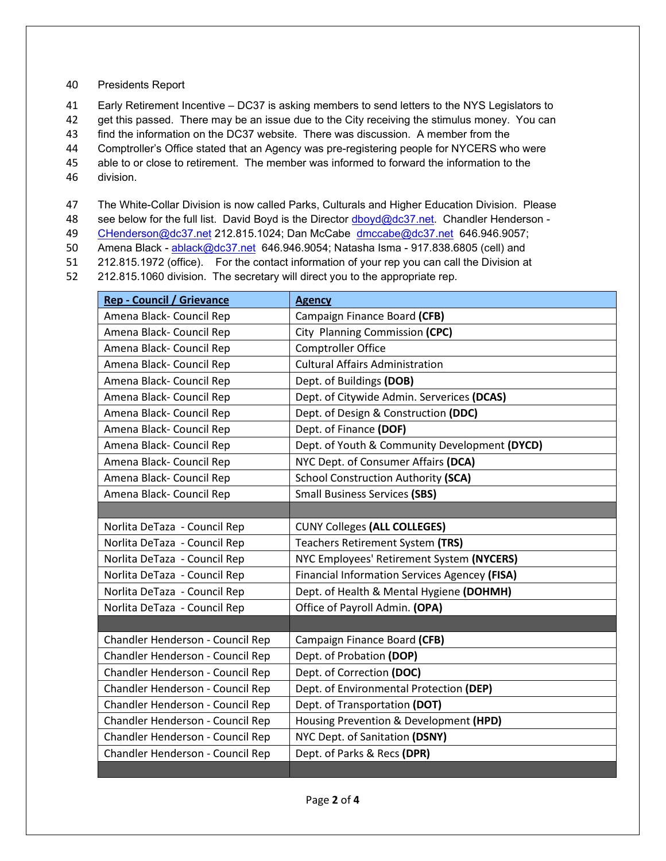## 40 Presidents Report

41 Early Retirement Incentive – DC37 is asking members to send letters to the NYS Legislators to

42 get this passed. There may be an issue due to the City receiving the stimulus money. You can

43 find the information on the DC37 website. There was discussion. A member from the

44 Comptroller's Office stated that an Agency was pre-registering people for NYCERS who were

45 able to or close to retirement. The member was informed to forward the information to the

46 division.

47 The White-Collar Division is now called Parks, Culturals and Higher Education Division. Please

48 see below for the full list. David Boyd is the Director [dboyd@dc37.net.](mailto:dboyd@dc37.net) Chandler Henderson -

49 [CHenderson@dc37.net](mailto:CHenderson@dc37.net) 212.815.1024; Dan McCabe [dmccabe@dc37.net](mailto:dmccabe@dc37.net) 646.946.9057;

50 Amena Black - [ablack@dc37.net](mailto:ablack@dc37.net) 646.946.9054; Natasha Isma - 917.838.6805 (cell) and

51 212.815.1972 (office). For the contact information of your rep you can call the Division at

52 212.815.1060 division. The secretary will direct you to the appropriate rep.

| <b>Rep - Council / Grievance</b> | <b>Agency</b>                                 |
|----------------------------------|-----------------------------------------------|
| Amena Black- Council Rep         | Campaign Finance Board (CFB)                  |
| Amena Black- Council Rep         | City Planning Commission (CPC)                |
| Amena Black- Council Rep         | Comptroller Office                            |
| Amena Black- Council Rep         | <b>Cultural Affairs Administration</b>        |
| Amena Black- Council Rep         | Dept. of Buildings (DOB)                      |
| Amena Black- Council Rep         | Dept. of Citywide Admin. Serverices (DCAS)    |
| Amena Black- Council Rep         | Dept. of Design & Construction (DDC)          |
| Amena Black- Council Rep         | Dept. of Finance (DOF)                        |
| Amena Black- Council Rep         | Dept. of Youth & Community Development (DYCD) |
| Amena Black- Council Rep         | NYC Dept. of Consumer Affairs (DCA)           |
| Amena Black- Council Rep         | <b>School Construction Authority (SCA)</b>    |
| Amena Black- Council Rep         | <b>Small Business Services (SBS)</b>          |
|                                  |                                               |
| Norlita DeTaza - Council Rep     | <b>CUNY Colleges (ALL COLLEGES)</b>           |
| Norlita DeTaza - Council Rep     | <b>Teachers Retirement System (TRS)</b>       |
| Norlita DeTaza - Council Rep     | NYC Employees' Retirement System (NYCERS)     |
| Norlita DeTaza - Council Rep     | Financial Information Services Agencey (FISA) |
| Norlita DeTaza - Council Rep     | Dept. of Health & Mental Hygiene (DOHMH)      |
| Norlita DeTaza - Council Rep     | Office of Payroll Admin. (OPA)                |
|                                  |                                               |
| Chandler Henderson - Council Rep | Campaign Finance Board (CFB)                  |
| Chandler Henderson - Council Rep | Dept. of Probation (DOP)                      |
| Chandler Henderson - Council Rep | Dept. of Correction (DOC)                     |
| Chandler Henderson - Council Rep | Dept. of Environmental Protection (DEP)       |
| Chandler Henderson - Council Rep | Dept. of Transportation (DOT)                 |
| Chandler Henderson - Council Rep | Housing Prevention & Development (HPD)        |
| Chandler Henderson - Council Rep | NYC Dept. of Sanitation (DSNY)                |
| Chandler Henderson - Council Rep | Dept. of Parks & Recs (DPR)                   |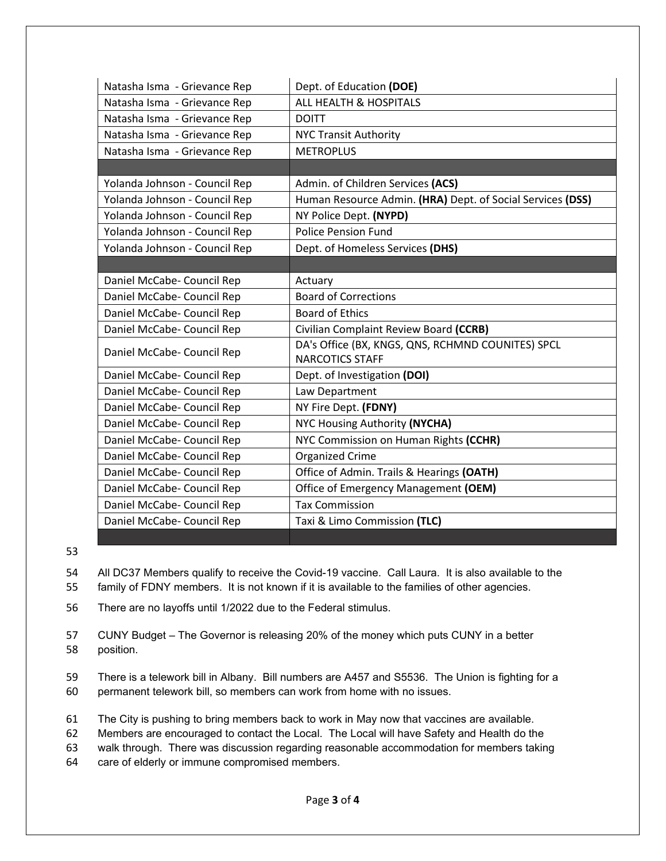| Natasha Isma - Grievance Rep  | Dept. of Education (DOE)                                                    |
|-------------------------------|-----------------------------------------------------------------------------|
| Natasha Isma - Grievance Rep  | <b>ALL HEALTH &amp; HOSPITALS</b>                                           |
| Natasha Isma - Grievance Rep  | <b>DOITT</b>                                                                |
| Natasha Isma - Grievance Rep  | <b>NYC Transit Authority</b>                                                |
| Natasha Isma - Grievance Rep  | <b>METROPLUS</b>                                                            |
|                               |                                                                             |
| Yolanda Johnson - Council Rep | Admin. of Children Services (ACS)                                           |
| Yolanda Johnson - Council Rep | Human Resource Admin. (HRA) Dept. of Social Services (DSS)                  |
| Yolanda Johnson - Council Rep | NY Police Dept. (NYPD)                                                      |
| Yolanda Johnson - Council Rep | <b>Police Pension Fund</b>                                                  |
| Yolanda Johnson - Council Rep | Dept. of Homeless Services (DHS)                                            |
|                               |                                                                             |
| Daniel McCabe- Council Rep    | Actuary                                                                     |
| Daniel McCabe- Council Rep    | <b>Board of Corrections</b>                                                 |
| Daniel McCabe- Council Rep    | <b>Board of Ethics</b>                                                      |
| Daniel McCabe- Council Rep    | Civilian Complaint Review Board (CCRB)                                      |
| Daniel McCabe- Council Rep    | DA's Office (BX, KNGS, QNS, RCHMND COUNITES) SPCL<br><b>NARCOTICS STAFF</b> |
| Daniel McCabe- Council Rep    | Dept. of Investigation (DOI)                                                |
| Daniel McCabe- Council Rep    | Law Department                                                              |
| Daniel McCabe- Council Rep    | NY Fire Dept. (FDNY)                                                        |
| Daniel McCabe- Council Rep    | NYC Housing Authority (NYCHA)                                               |
| Daniel McCabe- Council Rep    | NYC Commission on Human Rights (CCHR)                                       |
| Daniel McCabe- Council Rep    | <b>Organized Crime</b>                                                      |
| Daniel McCabe- Council Rep    | Office of Admin. Trails & Hearings (OATH)                                   |
| Daniel McCabe- Council Rep    | Office of Emergency Management (OEM)                                        |
| Daniel McCabe- Council Rep    | <b>Tax Commission</b>                                                       |
| Daniel McCabe- Council Rep    | Taxi & Limo Commission (TLC)                                                |
|                               |                                                                             |

- 53
- 54 All DC37 Members qualify to receive the Covid-19 vaccine. Call Laura. It is also available to the
- 55 family of FDNY members. It is not known if it is available to the families of other agencies.
- 56 There are no layoffs until 1/2022 due to the Federal stimulus.
- 57 CUNY Budget The Governor is releasing 20% of the money which puts CUNY in a better 58 position.
- 59 There is a telework bill in Albany. Bill numbers are A457 and S5536. The Union is fighting for a 60 permanent telework bill, so members can work from home with no issues.
- 61 The City is pushing to bring members back to work in May now that vaccines are available.
- 62 Members are encouraged to contact the Local. The Local will have Safety and Health do the
- 63 walk through. There was discussion regarding reasonable accommodation for members taking
- 64 care of elderly or immune compromised members.